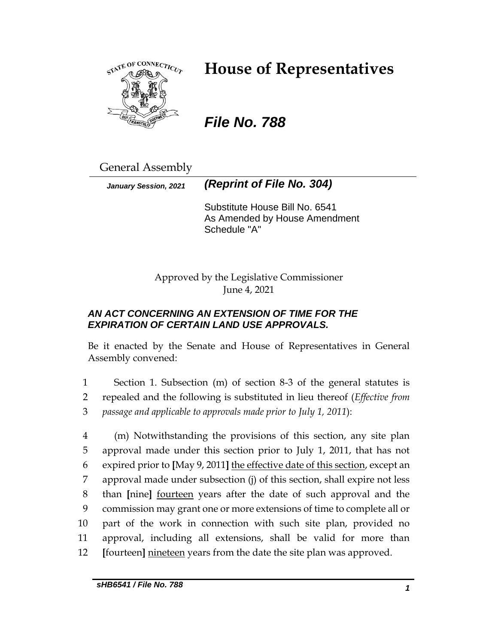

# **House of Representatives**

# *File No. 788*

General Assembly

*January Session, 2021 (Reprint of File No. 304)*

Substitute House Bill No. 6541 As Amended by House Amendment Schedule "A"

Approved by the Legislative Commissioner June 4, 2021

# *AN ACT CONCERNING AN EXTENSION OF TIME FOR THE EXPIRATION OF CERTAIN LAND USE APPROVALS.*

Be it enacted by the Senate and House of Representatives in General Assembly convened:

1 Section 1. Subsection (m) of section 8-3 of the general statutes is 2 repealed and the following is substituted in lieu thereof (*Effective from*  3 *passage and applicable to approvals made prior to July 1, 2011*):

 (m) Notwithstanding the provisions of this section, any site plan approval made under this section prior to July 1, 2011, that has not expired prior to **[**May 9, 2011**]** the effective date of this section, except an approval made under subsection (j) of this section, shall expire not less than **[**nine**]** fourteen years after the date of such approval and the commission may grant one or more extensions of time to complete all or part of the work in connection with such site plan, provided no approval, including all extensions, shall be valid for more than **[**fourteen**]** nineteen years from the date the site plan was approved.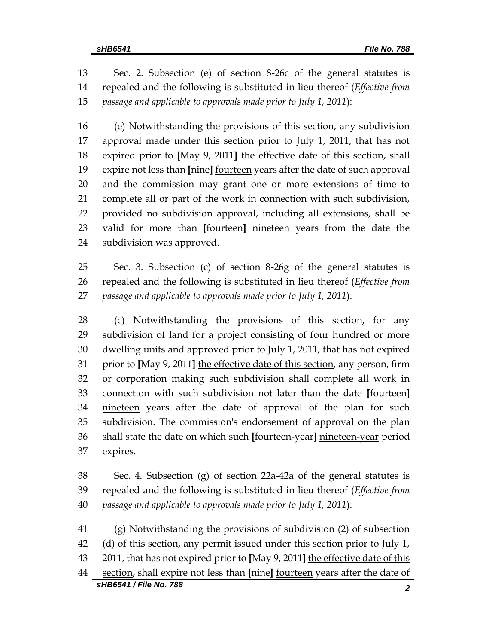Sec. 2. Subsection (e) of section 8-26c of the general statutes is repealed and the following is substituted in lieu thereof (*Effective from passage and applicable to approvals made prior to July 1, 2011*):

 (e) Notwithstanding the provisions of this section, any subdivision approval made under this section prior to July 1, 2011, that has not expired prior to **[**May 9, 2011**]** the effective date of this section, shall expire not less than **[**nine**]** fourteen years after the date of such approval and the commission may grant one or more extensions of time to complete all or part of the work in connection with such subdivision, provided no subdivision approval, including all extensions, shall be valid for more than **[**fourteen**]** nineteen years from the date the subdivision was approved.

 Sec. 3. Subsection (c) of section 8-26g of the general statutes is repealed and the following is substituted in lieu thereof (*Effective from passage and applicable to approvals made prior to July 1, 2011*):

 (c) Notwithstanding the provisions of this section, for any subdivision of land for a project consisting of four hundred or more dwelling units and approved prior to July 1, 2011, that has not expired prior to **[**May 9, 2011**]** the effective date of this section, any person, firm or corporation making such subdivision shall complete all work in connection with such subdivision not later than the date **[**fourteen**]** nineteen years after the date of approval of the plan for such subdivision. The commission's endorsement of approval on the plan shall state the date on which such **[**fourteen-year**]** nineteen-year period expires.

 Sec. 4. Subsection (g) of section 22a-42a of the general statutes is repealed and the following is substituted in lieu thereof (*Effective from passage and applicable to approvals made prior to July 1, 2011*):

*sHB6541 / File No. 788 2* (g) Notwithstanding the provisions of subdivision (2) of subsection (d) of this section, any permit issued under this section prior to July 1, 2011, that has not expired prior to **[**May 9, 2011**]** the effective date of this section, shall expire not less than **[**nine**]** fourteen years after the date of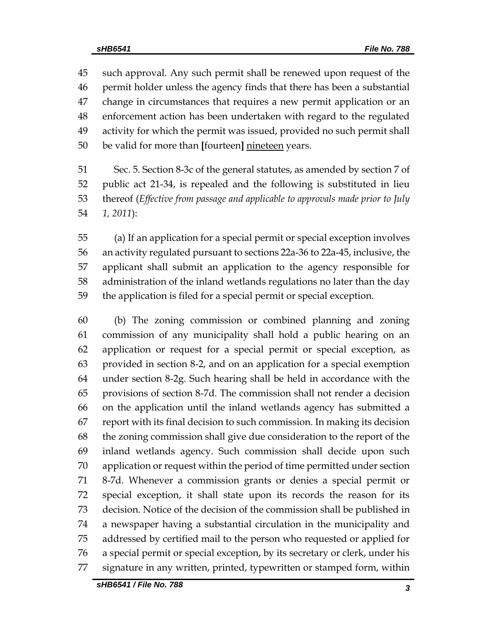such approval. Any such permit shall be renewed upon request of the permit holder unless the agency finds that there has been a substantial change in circumstances that requires a new permit application or an enforcement action has been undertaken with regard to the regulated activity for which the permit was issued, provided no such permit shall be valid for more than **[**fourteen**]** nineteen years.

 Sec. 5. Section 8-3c of the general statutes, as amended by section 7 of public act 21-34, is repealed and the following is substituted in lieu thereof (*Effective from passage and applicable to approvals made prior to July 1, 2011*):

 (a) If an application for a special permit or special exception involves an activity regulated pursuant to sections 22a-36 to 22a-45, inclusive, the applicant shall submit an application to the agency responsible for administration of the inland wetlands regulations no later than the day the application is filed for a special permit or special exception.

 (b) The zoning commission or combined planning and zoning commission of any municipality shall hold a public hearing on an application or request for a special permit or special exception, as provided in section 8-2, and on an application for a special exemption under section 8-2g. Such hearing shall be held in accordance with the provisions of section 8-7d. The commission shall not render a decision on the application until the inland wetlands agency has submitted a report with its final decision to such commission. In making its decision the zoning commission shall give due consideration to the report of the inland wetlands agency. Such commission shall decide upon such application or request within the period of time permitted under section 8-7d. Whenever a commission grants or denies a special permit or special exception, it shall state upon its records the reason for its decision. Notice of the decision of the commission shall be published in a newspaper having a substantial circulation in the municipality and addressed by certified mail to the person who requested or applied for a special permit or special exception, by its secretary or clerk, under his signature in any written, printed, typewritten or stamped form, within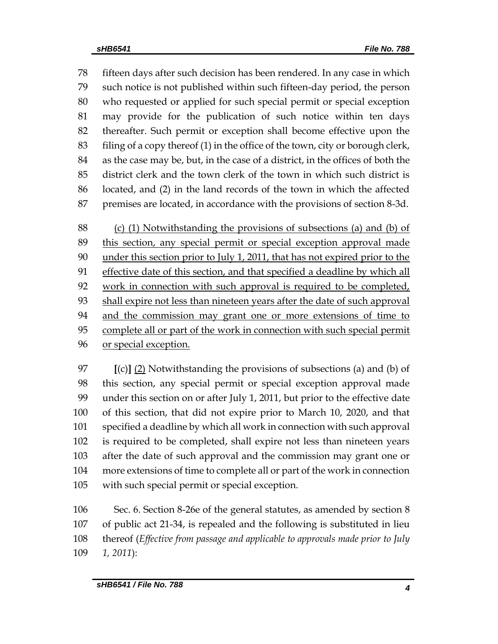fifteen days after such decision has been rendered. In any case in which such notice is not published within such fifteen-day period, the person who requested or applied for such special permit or special exception may provide for the publication of such notice within ten days thereafter. Such permit or exception shall become effective upon the filing of a copy thereof (1) in the office of the town, city or borough clerk, as the case may be, but, in the case of a district, in the offices of both the district clerk and the town clerk of the town in which such district is located, and (2) in the land records of the town in which the affected premises are located, in accordance with the provisions of section 8-3d.

 (c) (1) Notwithstanding the provisions of subsections (a) and (b) of this section, any special permit or special exception approval made 90 under this section prior to July 1, 2011, that has not expired prior to the effective date of this section, and that specified a deadline by which all 92 work in connection with such approval is required to be completed, shall expire not less than nineteen years after the date of such approval and the commission may grant one or more extensions of time to complete all or part of the work in connection with such special permit or special exception.

 **[**(c)**]** (2) Notwithstanding the provisions of subsections (a) and (b) of this section, any special permit or special exception approval made under this section on or after July 1, 2011, but prior to the effective date of this section, that did not expire prior to March 10, 2020, and that specified a deadline by which all work in connection with such approval is required to be completed, shall expire not less than nineteen years after the date of such approval and the commission may grant one or more extensions of time to complete all or part of the work in connection with such special permit or special exception.

 Sec. 6. Section 8-26e of the general statutes, as amended by section 8 of public act 21-34, is repealed and the following is substituted in lieu thereof (*Effective from passage and applicable to approvals made prior to July 1, 2011*):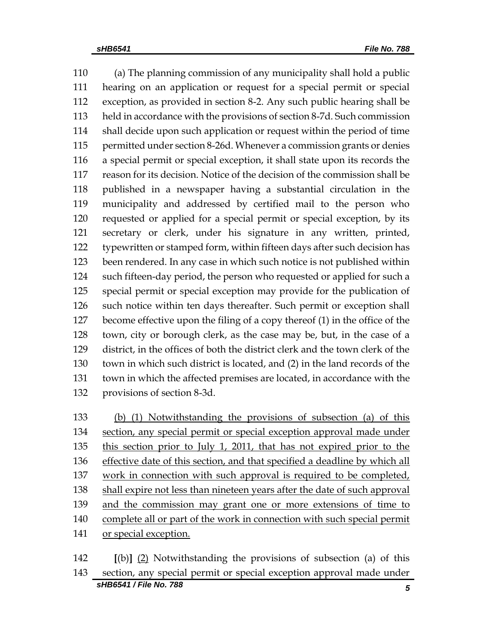(a) The planning commission of any municipality shall hold a public hearing on an application or request for a special permit or special exception, as provided in section 8-2. Any such public hearing shall be held in accordance with the provisions of section 8-7d. Such commission shall decide upon such application or request within the period of time permitted under section 8-26d. Whenever a commission grants or denies a special permit or special exception, it shall state upon its records the reason for its decision. Notice of the decision of the commission shall be published in a newspaper having a substantial circulation in the municipality and addressed by certified mail to the person who requested or applied for a special permit or special exception, by its secretary or clerk, under his signature in any written, printed, typewritten or stamped form, within fifteen days after such decision has been rendered. In any case in which such notice is not published within such fifteen-day period, the person who requested or applied for such a special permit or special exception may provide for the publication of such notice within ten days thereafter. Such permit or exception shall become effective upon the filing of a copy thereof (1) in the office of the town, city or borough clerk, as the case may be, but, in the case of a district, in the offices of both the district clerk and the town clerk of the town in which such district is located, and (2) in the land records of the town in which the affected premises are located, in accordance with the provisions of section 8-3d.

 (b) (1) Notwithstanding the provisions of subsection (a) of this 134 section, any special permit or special exception approval made under this section prior to July 1, 2011, that has not expired prior to the effective date of this section, and that specified a deadline by which all work in connection with such approval is required to be completed, shall expire not less than nineteen years after the date of such approval 139 and the commission may grant one or more extensions of time to complete all or part of the work in connection with such special permit 141 or special exception.

*sHB6541 / File No. 788 5* **[**(b)**]** (2) Notwithstanding the provisions of subsection (a) of this section, any special permit or special exception approval made under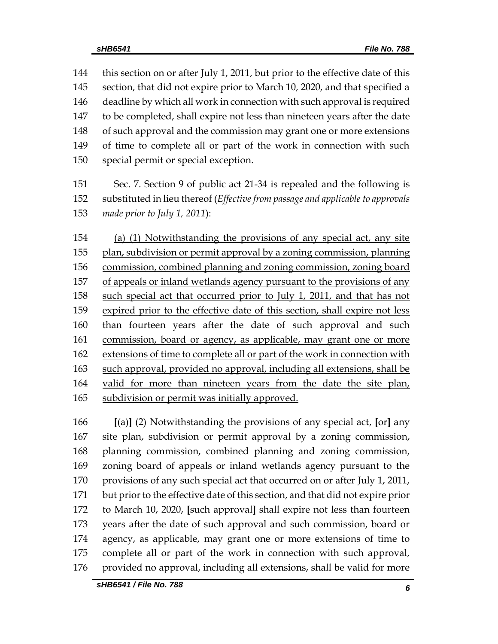this section on or after July 1, 2011, but prior to the effective date of this section, that did not expire prior to March 10, 2020, and that specified a deadline by which all work in connection with such approval is required to be completed, shall expire not less than nineteen years after the date of such approval and the commission may grant one or more extensions of time to complete all or part of the work in connection with such special permit or special exception.

 Sec. 7. Section 9 of public act 21-34 is repealed and the following is substituted in lieu thereof (*Effective from passage and applicable to approvals made prior to July 1, 2011*):

 (a) (1) Notwithstanding the provisions of any special act, any site plan, subdivision or permit approval by a zoning commission, planning commission, combined planning and zoning commission, zoning board of appeals or inland wetlands agency pursuant to the provisions of any such special act that occurred prior to July 1, 2011, and that has not expired prior to the effective date of this section, shall expire not less 160 than fourteen years after the date of such approval and such commission, board or agency, as applicable, may grant one or more extensions of time to complete all or part of the work in connection with such approval, provided no approval, including all extensions, shall be valid for more than nineteen years from the date the site plan, subdivision or permit was initially approved.

 **[**(a)**]** (2) Notwithstanding the provisions of any special act, **[**or**]** any site plan, subdivision or permit approval by a zoning commission, planning commission, combined planning and zoning commission, zoning board of appeals or inland wetlands agency pursuant to the 170 provisions of any such special act that occurred on or after July 1, 2011, but prior to the effective date of this section, and that did not expire prior to March 10, 2020, **[**such approval**]** shall expire not less than fourteen years after the date of such approval and such commission, board or agency, as applicable, may grant one or more extensions of time to complete all or part of the work in connection with such approval, 176 provided no approval, including all extensions, shall be valid for more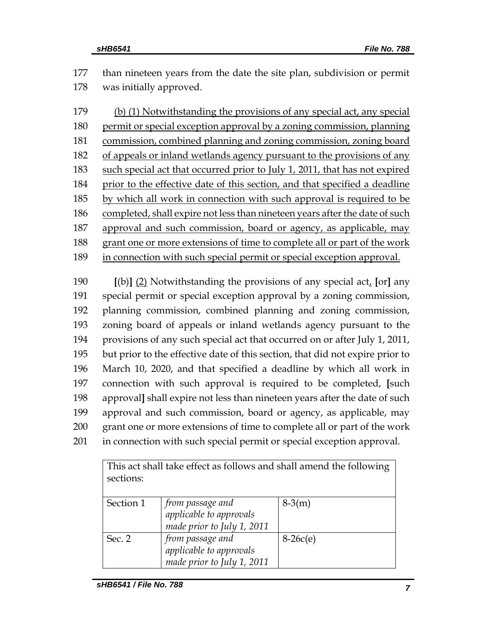than nineteen years from the date the site plan, subdivision or permit was initially approved.

 (b) (1) Notwithstanding the provisions of any special act, any special permit or special exception approval by a zoning commission, planning commission, combined planning and zoning commission, zoning board of appeals or inland wetlands agency pursuant to the provisions of any such special act that occurred prior to July 1, 2011, that has not expired prior to the effective date of this section, and that specified a deadline 185 by which all work in connection with such approval is required to be completed, shall expire not less than nineteen years after the date of such approval and such commission, board or agency, as applicable, may grant one or more extensions of time to complete all or part of the work in connection with such special permit or special exception approval.

 **[**(b)**]** (2) Notwithstanding the provisions of any special act, **[**or**]** any special permit or special exception approval by a zoning commission, planning commission, combined planning and zoning commission, zoning board of appeals or inland wetlands agency pursuant to the provisions of any such special act that occurred on or after July 1, 2011, but prior to the effective date of this section, that did not expire prior to March 10, 2020, and that specified a deadline by which all work in connection with such approval is required to be completed, **[**such approval**]** shall expire not less than nineteen years after the date of such approval and such commission, board or agency, as applicable, may grant one or more extensions of time to complete all or part of the work in connection with such special permit or special exception approval.

| This act shall take effect as follows and shall amend the following |                            |            |  |  |
|---------------------------------------------------------------------|----------------------------|------------|--|--|
| sections:                                                           |                            |            |  |  |
|                                                                     |                            |            |  |  |
| Section 1                                                           | from passage and           | $8-3(m)$   |  |  |
|                                                                     | applicable to approvals    |            |  |  |
|                                                                     | made prior to July 1, 2011 |            |  |  |
| Sec. 2                                                              | from passage and           | $8-26c(e)$ |  |  |
|                                                                     | applicable to approvals    |            |  |  |
|                                                                     | made prior to July 1, 2011 |            |  |  |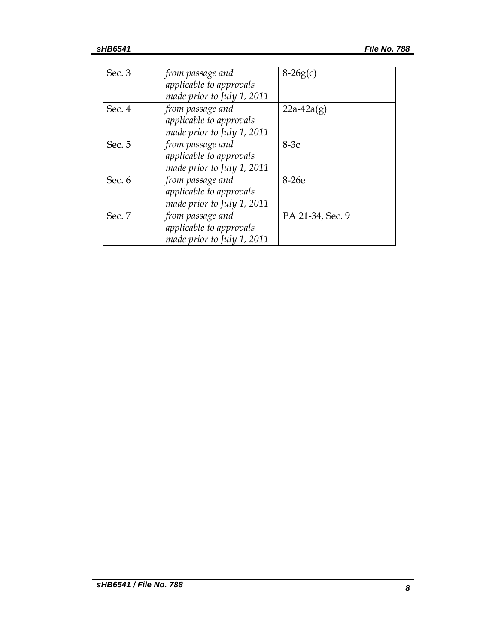| Sec. 3 | from passage and           | $8-26g(c)$       |
|--------|----------------------------|------------------|
|        | applicable to approvals    |                  |
|        | made prior to July 1, 2011 |                  |
| Sec. 4 | from passage and           | $22a-42a(g)$     |
|        | applicable to approvals    |                  |
|        | made prior to July 1, 2011 |                  |
| Sec. 5 | from passage and           | $8-3c$           |
|        | applicable to approvals    |                  |
|        | made prior to July 1, 2011 |                  |
| Sec. 6 | from passage and           | 8-26e            |
|        | applicable to approvals    |                  |
|        | made prior to July 1, 2011 |                  |
| Sec. 7 | from passage and           | PA 21-34, Sec. 9 |
|        | applicable to approvals    |                  |
|        | made prior to July 1, 2011 |                  |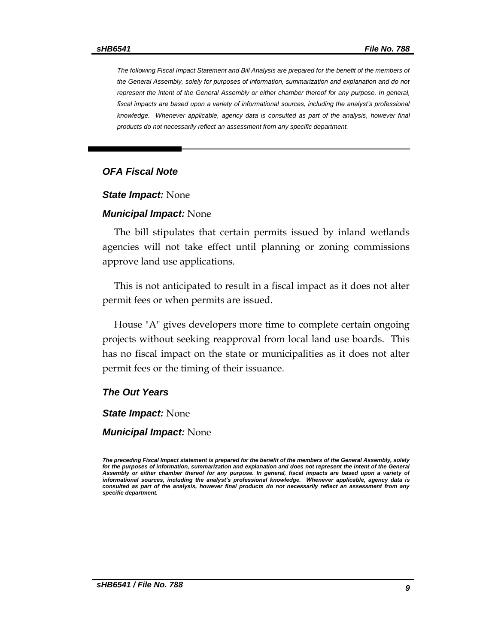*The following Fiscal Impact Statement and Bill Analysis are prepared for the benefit of the members of the General Assembly, solely for purposes of information, summarization and explanation and do not represent the intent of the General Assembly or either chamber thereof for any purpose. In general,*  fiscal impacts are based upon a variety of informational sources, including the analyst's professional *knowledge. Whenever applicable, agency data is consulted as part of the analysis, however final products do not necessarily reflect an assessment from any specific department.*

#### *OFA Fiscal Note*

#### *State Impact:* None

#### *Municipal Impact:* None

The bill stipulates that certain permits issued by inland wetlands agencies will not take effect until planning or zoning commissions approve land use applications.

This is not anticipated to result in a fiscal impact as it does not alter permit fees or when permits are issued.

House "A" gives developers more time to complete certain ongoing projects without seeking reapproval from local land use boards. This has no fiscal impact on the state or municipalities as it does not alter permit fees or the timing of their issuance.

#### *The Out Years*

*State Impact:* None

*Municipal Impact:* None

*The preceding Fiscal Impact statement is prepared for the benefit of the members of the General Assembly, solely*  for the purposes of information, summarization and explanation and does not represent the intent of the General *Assembly or either chamber thereof for any purpose. In general, fiscal impacts are based upon a variety of informational sources, including the analyst's professional knowledge. Whenever applicable, agency data is consulted as part of the analysis, however final products do not necessarily reflect an assessment from any specific department.*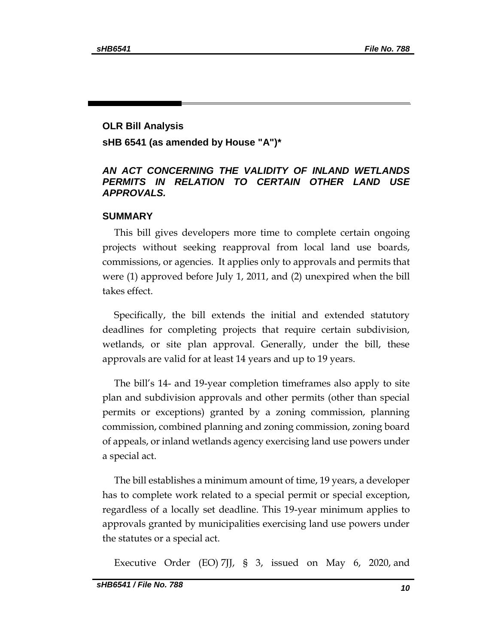# **OLR Bill Analysis sHB 6541 (as amended by House "A")\***

### *AN ACT CONCERNING THE VALIDITY OF INLAND WETLANDS PERMITS IN RELATION TO CERTAIN OTHER LAND USE APPROVALS.*

#### **SUMMARY**

This bill gives developers more time to complete certain ongoing projects without seeking reapproval from local land use boards, commissions, or agencies. It applies only to approvals and permits that were (1) approved before July 1, 2011, and (2) unexpired when the bill takes effect.

Specifically, the bill extends the initial and extended statutory deadlines for completing projects that require certain subdivision, wetlands, or site plan approval. Generally, under the bill, these approvals are valid for at least 14 years and up to 19 years.

The bill's 14- and 19-year completion timeframes also apply to site plan and subdivision approvals and other permits (other than special permits or exceptions) granted by a zoning commission, planning commission, combined planning and zoning commission, zoning board of appeals, or inland wetlands agency exercising land use powers under a special act.

The bill establishes a minimum amount of time, 19 years, a developer has to complete work related to a special permit or special exception, regardless of a locally set deadline. This 19-year minimum applies to approvals granted by municipalities exercising land use powers under the statutes or a special act.

Executive Order (EO) 7JJ, § 3, issued on May 6, 2020, and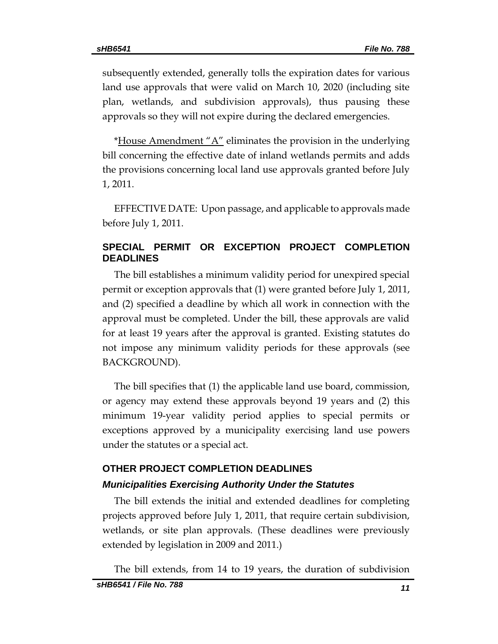subsequently extended, generally tolls the expiration dates for various land use approvals that were valid on March 10, 2020 (including site plan, wetlands, and subdivision approvals), thus pausing these approvals so they will not expire during the declared emergencies.

\*House Amendment "A" eliminates the provision in the underlying bill concerning the effective date of inland wetlands permits and adds the provisions concerning local land use approvals granted before July 1, 2011.

EFFECTIVE DATE: Upon passage, and applicable to approvals made before July 1, 2011.

# **SPECIAL PERMIT OR EXCEPTION PROJECT COMPLETION DEADLINES**

The bill establishes a minimum validity period for unexpired special permit or exception approvals that (1) were granted before July 1, 2011, and (2) specified a deadline by which all work in connection with the approval must be completed. Under the bill, these approvals are valid for at least 19 years after the approval is granted. Existing statutes do not impose any minimum validity periods for these approvals (see BACKGROUND).

The bill specifies that (1) the applicable land use board, commission, or agency may extend these approvals beyond 19 years and (2) this minimum 19-year validity period applies to special permits or exceptions approved by a municipality exercising land use powers under the statutes or a special act.

# **OTHER PROJECT COMPLETION DEADLINES**  *Municipalities Exercising Authority Under the Statutes*

The bill extends the initial and extended deadlines for completing projects approved before July 1, 2011, that require certain subdivision, wetlands, or site plan approvals. (These deadlines were previously extended by legislation in 2009 and 2011.)

The bill extends, from 14 to 19 years, the duration of subdivision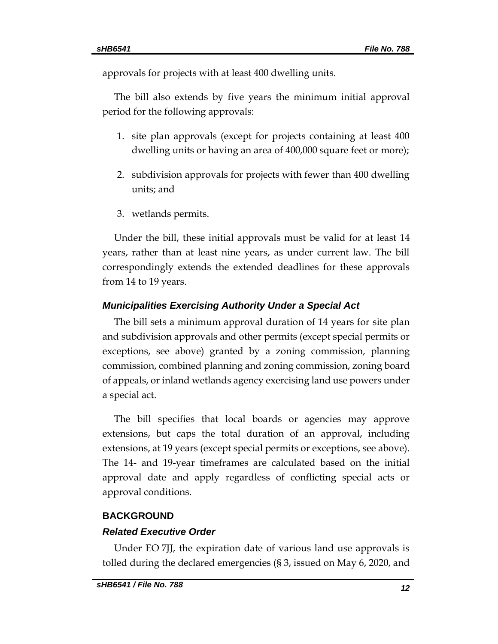approvals for projects with at least 400 dwelling units.

The bill also extends by five years the minimum initial approval period for the following approvals:

- 1. site plan approvals (except for projects containing at least 400 dwelling units or having an area of 400,000 square feet or more);
- 2. subdivision approvals for projects with fewer than 400 dwelling units; and
- 3. wetlands permits.

Under the bill, these initial approvals must be valid for at least 14 years, rather than at least nine years, as under current law. The bill correspondingly extends the extended deadlines for these approvals from 14 to 19 years.

### *Municipalities Exercising Authority Under a Special Act*

The bill sets a minimum approval duration of 14 years for site plan and subdivision approvals and other permits (except special permits or exceptions, see above) granted by a zoning commission, planning commission, combined planning and zoning commission, zoning board of appeals, or inland wetlands agency exercising land use powers under a special act.

The bill specifies that local boards or agencies may approve extensions, but caps the total duration of an approval, including extensions, at 19 years (except special permits or exceptions, see above). The 14- and 19-year timeframes are calculated based on the initial approval date and apply regardless of conflicting special acts or approval conditions.

## **BACKGROUND**

## *Related Executive Order*

Under EO 7JJ, the expiration date of various land use approvals is tolled during the declared emergencies (§ 3, issued on May 6, 2020, and